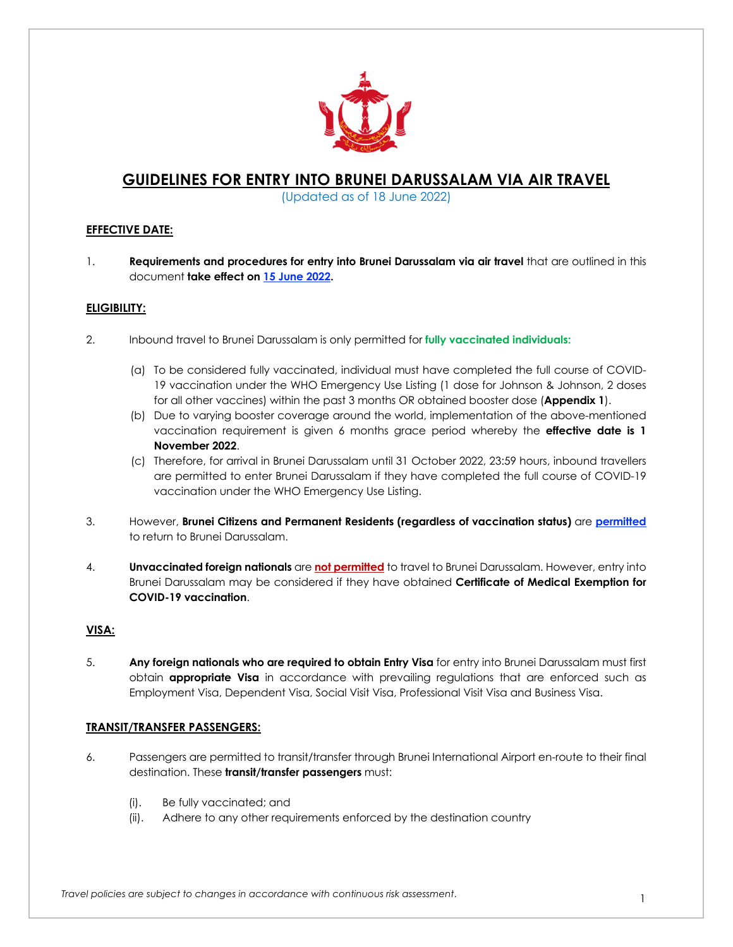

# **GUIDELINES FOR ENTRY INTO BRUNEI DARUSSALAM VIA AIR TRAVEL**

(Updated as of 18 June 2022)

### **EFFECTIVE DATE:**

1. **Requirements and procedures for entry into Brunei Darussalam via air travel** that are outlined in this document **take effect on 15 June 2022.**

### **ELIGIBILITY:**

- 2. Inbound travel to Brunei Darussalam is only permitted for **fully vaccinated individuals:**
	- (a) To be considered fully vaccinated, individual must have completed the full course of COVID-19 vaccination under the WHO Emergency Use Listing (1 dose for Johnson & Johnson, 2 doses for all other vaccines) within the past 3 months OR obtained booster dose (**Appendix 1**).
	- (b) Due to varying booster coverage around the world, implementation of the above-mentioned vaccination requirement is given 6 months grace period whereby the **effective date is 1 November 2022**.
	- (c) Therefore, for arrival in Brunei Darussalam until 31 October 2022, 23:59 hours, inbound travellers are permitted to enter Brunei Darussalam if they have completed the full course of COVID-19 vaccination under the WHO Emergency Use Listing.
- 3. However, **Brunei Citizens and Permanent Residents (regardless of vaccination status)** are **permitted** to return to Brunei Darussalam.
- 4. **Unvaccinated foreign nationals** are **not permitted** to travel to Brunei Darussalam. However, entry into Brunei Darussalam may be considered if they have obtained **Certificate of Medical Exemption for COVID-19 vaccination**.

### **VISA:**

5. **Any foreign nationals who are required to obtain Entry Visa** for entry into Brunei Darussalam must first obtain **appropriate Visa** in accordance with prevailing regulations that are enforced such as Employment Visa, Dependent Visa, Social Visit Visa, Professional Visit Visa and Business Visa.

### **TRANSIT/TRANSFER PASSENGERS:**

- 6. Passengers are permitted to transit/transfer through Brunei International Airport en-route to their final destination. These **transit/transfer passengers** must:
	- (i). Be fully vaccinated; and
	- (ii). Adhere to any other requirements enforced by the destination country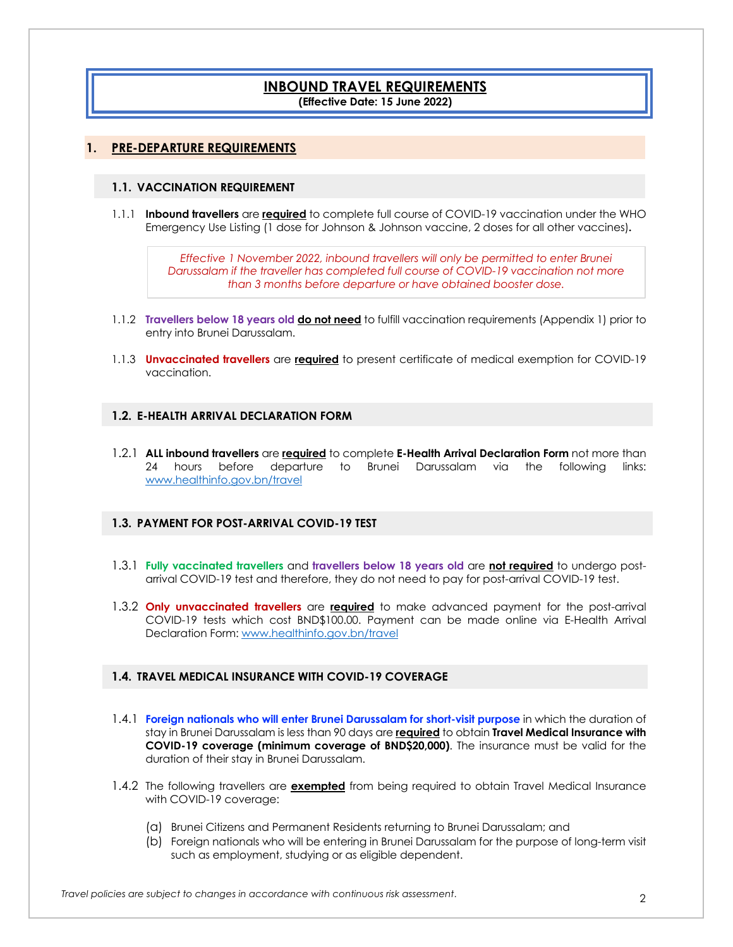## **INBOUND TRAVEL REQUIREMENTS (Effective Date: 15 June 2022)**

### **1. PRE-DEPARTURE REQUIREMENTS**

### **1.1. VACCINATION REQUIREMENT**

1.1.1 **Inbound travellers** are **required** to complete full course of COVID-19 vaccination under the WHO Emergency Use Listing (1 dose for Johnson & Johnson vaccine, 2 doses for all other vaccines)**.**

> *Effective 1 November 2022, inbound travellers will only be permitted to enter Brunei Darussalam if the traveller has completed full course of COVID-19 vaccination not more than 3 months before departure or have obtained booster dose.*

- 1.1.2 **Travellers below 18 years old do not need** to fulfill vaccination requirements (Appendix 1) prior to entry into Brunei Darussalam.
- 1.1.3 **Unvaccinated travellers** are **required** to present certificate of medical exemption for COVID-19 vaccination.

### **1.2. E-HEALTH ARRIVAL DECLARATION FORM**

1.2.1 **ALL inbound travellers** are **required** to complete **E-Health Arrival Declaration Form** not more than 24 hours before departure to Brunei Darussalam via the following links: www.healthinfo.gov.bn/travel

### **1.3. PAYMENT FOR POST-ARRIVAL COVID-19 TEST**

- 1.3.1 **Fully vaccinated travellers** and **travellers below 18 years old** are **not required** to undergo postarrival COVID-19 test and therefore, they do not need to pay for post-arrival COVID-19 test.
- 1.3.2 **Only unvaccinated travellers** are **required** to make advanced payment for the post-arrival COVID-19 tests which cost BND\$100.00. Payment can be made online via E-Health Arrival Declaration Form: www.healthinfo.gov.bn/travel

### **1.4. TRAVEL MEDICAL INSURANCE WITH COVID-19 COVERAGE**

- 1.4.1 **Foreign nationals who will enter Brunei Darussalam for short-visit purpose** in which the duration of stay in Brunei Darussalam is less than 90 days are **required** to obtain **Travel Medical Insurance with COVID-19 coverage (minimum coverage of BND\$20,000)**. The insurance must be valid for the duration of their stay in Brunei Darussalam.
- 1.4.2 The following travellers are **exempted** from being required to obtain Travel Medical Insurance with COVID-19 coverage:
	- (a) Brunei Citizens and Permanent Residents returning to Brunei Darussalam; and
	- (b) Foreign nationals who will be entering in Brunei Darussalam for the purpose of long-term visit such as employment, studying or as eligible dependent.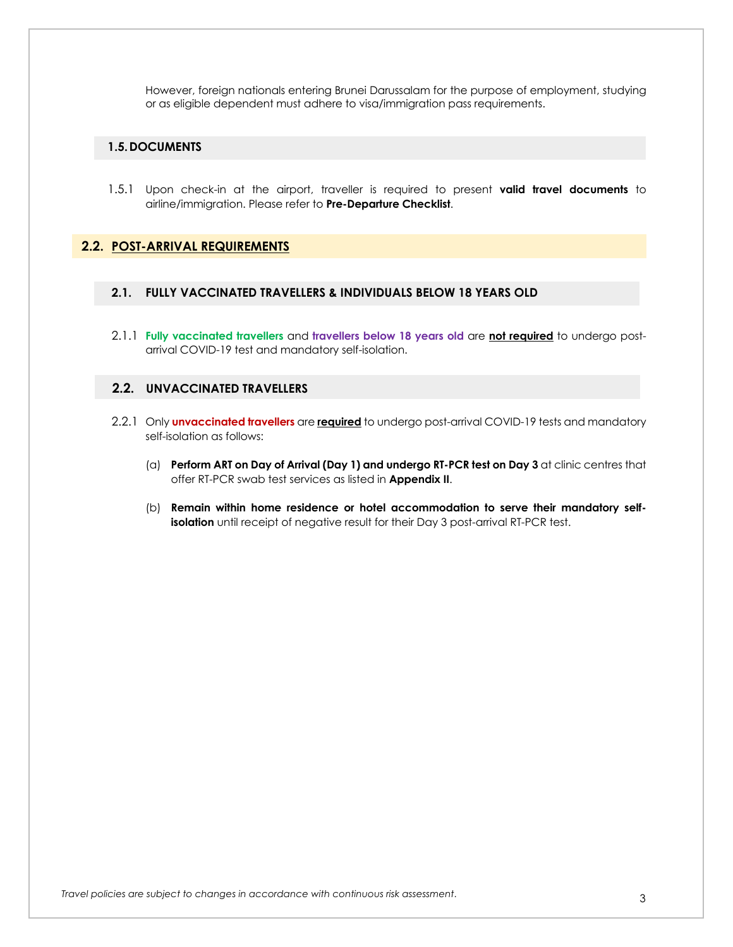However, foreign nationals entering Brunei Darussalam for the purpose of employment, studying or as eligible dependent must adhere to visa/immigration pass requirements.

### **1.5.DOCUMENTS**

1.5.1 Upon check-in at the airport, traveller is required to present **valid travel documents** to airline/immigration. Please refer to **Pre-Departure Checklist**.

### **2.2. POST-ARRIVAL REQUIREMENTS**

- **2.1. FULLY VACCINATED TRAVELLERS & INDIVIDUALS BELOW 18 YEARS OLD**
- 2.1.1 **Fully vaccinated travellers** and **travellers below 18 years old** are **not required** to undergo postarrival COVID-19 test and mandatory self-isolation.

### **2.2. UNVACCINATED TRAVELLERS**

- 2.2.1 Only **unvaccinated travellers** are **required** to undergo post-arrival COVID-19 tests and mandatory self-isolation as follows:
	- (a) **Perform ART on Day of Arrival (Day 1) and undergo RT-PCR test on Day 3** at clinic centres that offer RT-PCR swab test services as listed in **Appendix II**.
	- (b) **Remain within home residence or hotel accommodation to serve their mandatory selfisolation** until receipt of negative result for their Day 3 post-arrival RT-PCR test.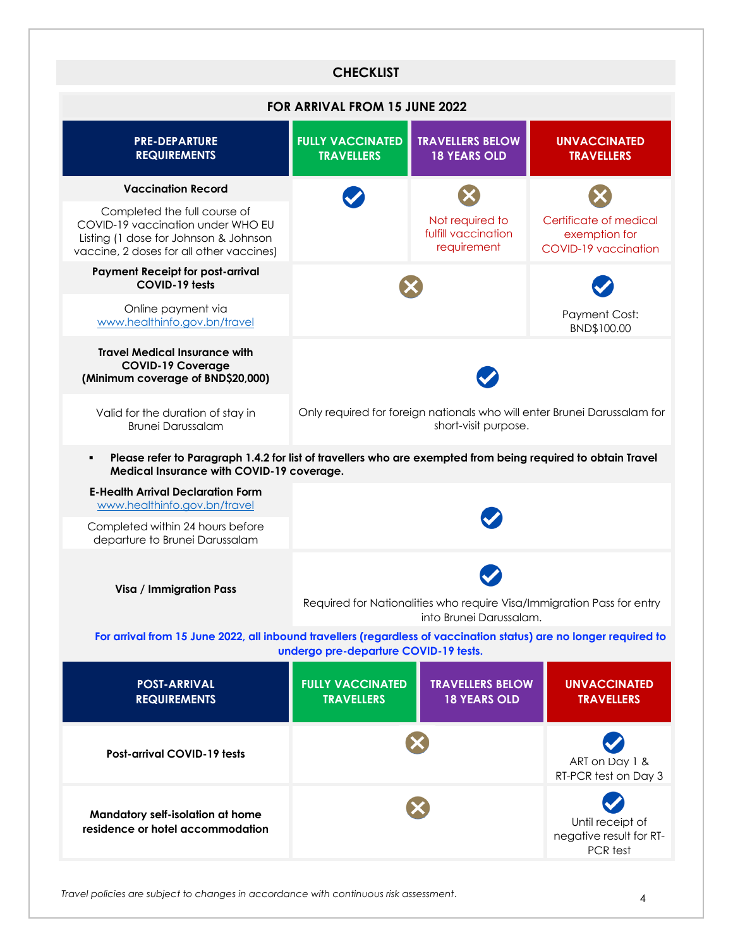|                                                                                                                                                           | <b>CHECKLIST</b>                                                                                  |                                                       |                                                                 |  |
|-----------------------------------------------------------------------------------------------------------------------------------------------------------|---------------------------------------------------------------------------------------------------|-------------------------------------------------------|-----------------------------------------------------------------|--|
| FOR ARRIVAL FROM 15 JUNE 2022                                                                                                                             |                                                                                                   |                                                       |                                                                 |  |
| <b>PRE-DEPARTURE</b><br><b>REQUIREMENTS</b>                                                                                                               | <b>FULLY VACCINATED</b><br><b>TRAVELLERS</b>                                                      | <b>TRAVELLERS BELOW</b><br><b>18 YEARS OLD</b>        | <b>UNVACCINATED</b><br><b>TRAVELLERS</b>                        |  |
| <b>Vaccination Record</b>                                                                                                                                 |                                                                                                   |                                                       |                                                                 |  |
| Completed the full course of<br>COVID-19 vaccination under WHO EU<br>Listing (1 dose for Johnson & Johnson<br>vaccine, 2 doses for all other vaccines)    |                                                                                                   | Not required to<br>fulfill vaccination<br>requirement | Certificate of medical<br>exemption for<br>COVID-19 vaccination |  |
| <b>Payment Receipt for post-arrival</b><br>COVID-19 tests                                                                                                 | <b>Payment Cost:</b><br>BND\$100.00                                                               |                                                       |                                                                 |  |
| Online payment via<br>www.healthinfo.gov.bn/travel                                                                                                        |                                                                                                   |                                                       |                                                                 |  |
| <b>Travel Medical Insurance with</b><br><b>COVID-19 Coverage</b><br>(Minimum coverage of BND\$20,000)                                                     |                                                                                                   |                                                       |                                                                 |  |
| Valid for the duration of stay in<br><b>Brunei Darussalam</b>                                                                                             | Only required for foreign nationals who will enter Brunei Darussalam for<br>short-visit purpose.  |                                                       |                                                                 |  |
| Please refer to Paragraph 1.4.2 for list of travellers who are exempted from being required to obtain Travel<br>Medical Insurance with COVID-19 coverage. |                                                                                                   |                                                       |                                                                 |  |
| <b>E-Health Arrival Declaration Form</b><br>www.healthinfo.gov.bn/travel                                                                                  |                                                                                                   |                                                       |                                                                 |  |
| Completed within 24 hours before<br>departure to Brunei Darussalam                                                                                        |                                                                                                   |                                                       |                                                                 |  |
| Visa / Immigration Pass                                                                                                                                   | Required for Nationalities who require Visa/Immigration Pass for entry<br>into Brunei Darussalam. |                                                       |                                                                 |  |
| For arrival from 15 June 2022, all inbound travellers (regardless of vaccination status) are no longer required to                                        | undergo pre-departure COVID-19 tests.                                                             |                                                       |                                                                 |  |
| <b>POST-ARRIVAL</b><br><b>REQUIREMENTS</b>                                                                                                                | <b>FULLY VACCINATED</b><br><b>TRAVELLERS</b>                                                      | <b>TRAVELLERS BELOW</b><br><b>18 YEARS OLD</b>        | <b>UNVACCINATED</b><br><b>TRAVELLERS</b>                        |  |
| Post-arrival COVID-19 tests                                                                                                                               |                                                                                                   |                                                       | ART on Day 1 &<br>RT-PCR test on Day 3                          |  |
| Mandatory self-isolation at home<br>residence or hotel accommodation                                                                                      |                                                                                                   |                                                       | Until receipt of<br>negative result for RT-<br>PCR test         |  |